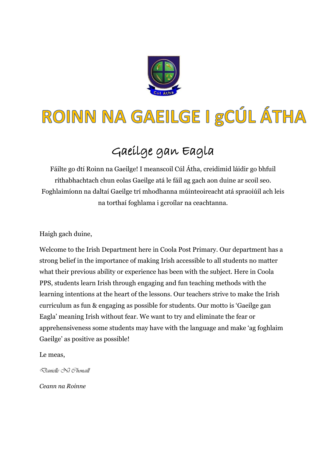

# ROINN NA GAEILGE I gCÚL ÁTHA

# Gaeilge gan Eagla

Fáilte go dtí Roinn na Gaeilge! I meanscoil Cúl Átha, creidimid láidir go bhfuil ríthabhachtach chun eolas Gaeilge atá le fáil ag gach aon duine ar scoil seo. Foghlaimíonn na daltaí Gaeilge trí mhodhanna múinteoireacht atá spraoiúil ach leis na torthaí foghlama i gcroílar na ceachtanna.

Haigh gach duine,

Welcome to the Irish Department here in Coola Post Primary. Our department has a strong belief in the importance of making Irish accessible to all students no matter what their previous ability or experience has been with the subject. Here in Coola PPS, students learn Irish through engaging and fun teaching methods with the learning intentions at the heart of the lessons. Our teachers strive to make the Irish curriculum as fun & engaging as possible for students. Our motto is 'Gaeilge gan Eagla' meaning Irish without fear. We want to try and eliminate the fear or apprehensiveness some students may have with the language and make 'ag foghlaim Gaeilge' as positive as possible!

Le meas,

*Danielle Ní Chonaill*

*Ceann na Roinne*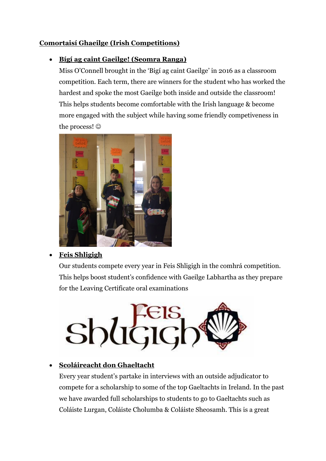# **Comortaisí Ghaeilge (Irish Competitions)**

## **Bígí ag caint Gaeilge! (Seomra Ranga)**

Miss O'Connell brought in the 'Bigí ag caint Gaeilge' in 2016 as a classroom competition. Each term, there are winners for the student who has worked the hardest and spoke the most Gaeilge both inside and outside the classroom! This helps students become comfortable with the Irish language & become more engaged with the subject while having some friendly competiveness in the process!  $\odot$ 



#### **Feis Shligigh**

Our students compete every year in Feis Shligigh in the comhrá competition. This helps boost student's confidence with Gaeilge Labhartha as they prepare for the Leaving Certificate oral examinations



# **Scoláireacht don Ghaeltacht**

Every year student's partake in interviews with an outside adjudicator to compete for a scholarship to some of the top Gaeltachts in Ireland. In the past we have awarded full scholarships to students to go to Gaeltachts such as Coláiste Lurgan, Coláiste Cholumba & Coláiste Sheosamh. This is a great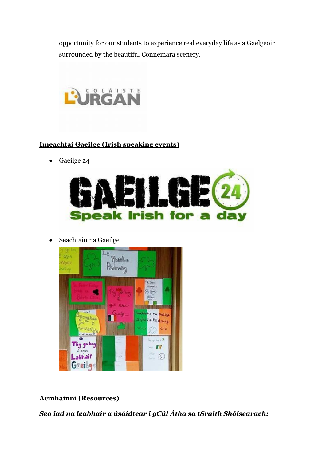opportunity for our students to experience real everyday life as a Gaelgeoir surrounded by the beautiful Connemara scenery.



## **Imeachtaí Gaeilge (Irish speaking events)**

Gaeilge 24



Seachtain na Gaeilge



#### **Acmhainní (Resources)**

*Seo iad na leabhair a úsáidtear i gCúl Átha sa tSraith Shóisearach:*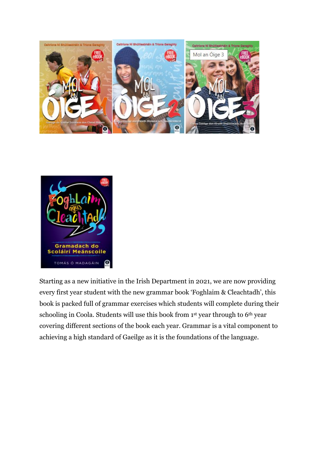



Starting as a new initiative in the Irish Department in 2021, we are now providing every first year student with the new grammar book 'Foghlaim & Cleachtadh', this book is packed full of grammar exercises which students will complete during their schooling in Coola. Students will use this book from 1st year through to 6th year covering different sections of the book each year. Grammar is a vital component to achieving a high standard of Gaeilge as it is the foundations of the language.